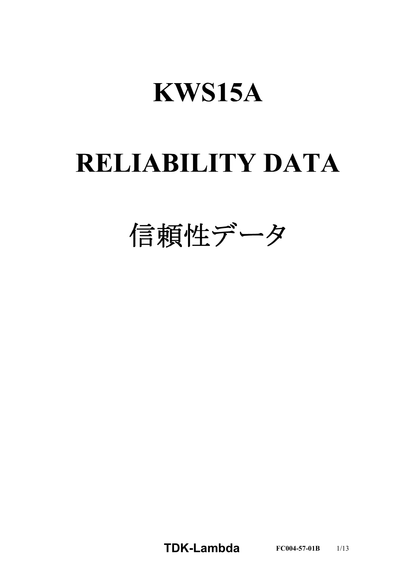# **KWS15A**

# **RELIABILITY DATA**

信頼性データ

**TDK-Lambda FC004-57-01B** 1/13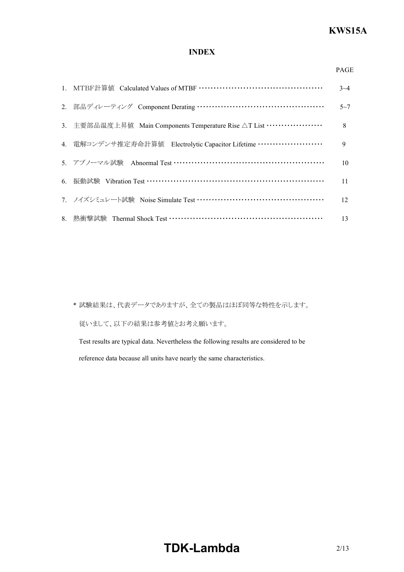## **INDEX**

| ۰, |
|----|

|                                                               | $3 - 4$ |
|---------------------------------------------------------------|---------|
| 2. 部品ディレーティング Component Derating …………………………………………             | $5 - 7$ |
| 3. 主要部品温度上昇值 Main Components Temperature Rise △T List ………………… | 8       |
| 4. 電解コンデンサ推定寿命計算値 Electrolytic Capacitor Lifetime ……………………    | 9       |
| 5. アブノーマル試験 Abnormal Test …………………………………………………                 | 10      |
|                                                               | 11      |
| 7. ノイズシミュレート試験 Noise Simulate Test …………………………………………           | 12      |
| 8. 熱衝擊試験 Thermal Shock Test ………………………………………………………             | 13      |

\* 試験結果は、代表データでありますが、全ての製品はほぼ同等な特性を示します。 従いまして、以下の結果は参考値とお考え願います。

Test results are typical data. Nevertheless the following results are considered to be reference data because all units have nearly the same characteristics.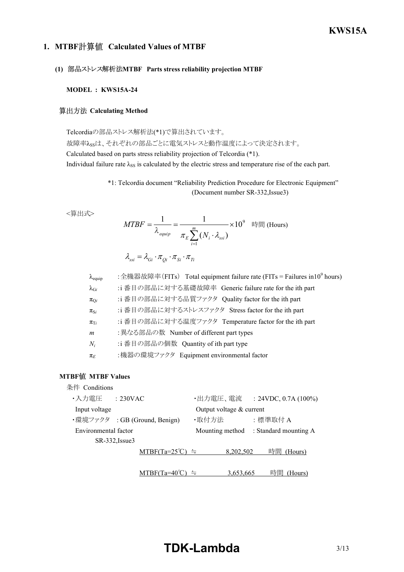## *RWS 50B600B Series* **KWS15A**

## **1. MTBF Calculated Values of MTBF**

#### **(1) MTBF Parts stress reliability projection MTBF**

#### **MODEL : KWS15A-24**

#### **算出方法 Calculating Method**

Telcordiaの部品ストレス解析法(\*1)で算出されています。

故障率λssは、それぞれの部品ごとに電気ストレスと動作温度によって決定されます。 Calculated based on parts stress reliability projection of Telcordia (\*1). Individual failure rate  $\lambda_{SS}$  is calculated by the electric stress and temperature rise of the each part.

> \*1: Telcordia document "Reliability Prediction Procedure for Electronic Equipment" (Document number SR-332, Issue3)

<算出式>

$$
MTBF = \frac{1}{\lambda_{equip}} = \frac{1}{\pi_E \sum_{i=1}^{m} (N_i \cdot \lambda_{ssi})} \times 10^9 \quad \text{iff} \quad \text{(Hours)}
$$
\n
$$
\lambda_{ssi} = \lambda_{Gi} \cdot \pi_{Qi} \cdot \pi_{Si} \cdot \pi_{Ti}
$$

| $\lambda_{\rm equip}$   | : 全機器故障率(FITs) Total equipment failure rate (FITs = Failures in 10 <sup>9</sup> hours) |
|-------------------------|----------------------------------------------------------------------------------------|
| $\lambda_{\mathrm{G}i}$ | :i 番目の部品に対する基礎故障率 Generic failure rate for the ith part                                |
| $\pi_{\text{O}i}$       | :i 番目の部品に対する品質ファクタ Quality factor for the ith part                                     |
| $\pi_{\text{Si}}$       | :i 番目の部品に対するストレスファクタ Stress factor for the ith part                                    |
| $\pi_{Ti}$              | :i 番目の部品に対する温度ファクタ Temperature factor for the ith part                                 |
| $\boldsymbol{m}$        | : 異なる部品の数 Number of different part types                                               |
| $N_i$                   | :i 番目の部品の個数 Quantity of ith part type                                                  |
| $\pi_F$                 | :機器の環境ファクタ Equipment environmental factor                                              |

#### **MTBF MTBF Values**

| 条件 Conditions                |                                 |                          |                                       |
|------------------------------|---------------------------------|--------------------------|---------------------------------------|
| ・入力電圧<br>: 230VAC            |                                 | ・出力電圧、電流                 | : $24VDC$ , 0.7A (100%)               |
| Input voltage                |                                 | Output voltage & current |                                       |
| ・環境ファクタ :GB (Ground, Benign) |                                 | ・取付方法                    | :標準取付 A                               |
| Environmental factor         |                                 |                          | Mounting method : Standard mounting A |
| SR-332, Issue3               |                                 |                          |                                       |
|                              | $MTBF(Ta=25^{\circ}\text{C})$ = | 8,202,502                | 時間<br>(Hours)                         |
|                              |                                 |                          |                                       |
|                              | TBF(Ta=4)                       | 3.653.665                | 時間<br>'Hours)                         |

# **TDK-Lambda** 3/13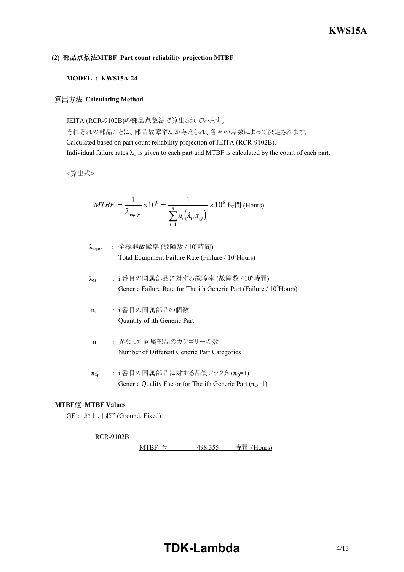#### **(2) MTBF Part count reliability projection MTBF**

#### **MODEL : KWS15A-24**

#### **算出方法 Calculating Method**

JEITA (RCR-9102B)の部品点数法で算出されています。 それぞれの部品ごとに、部品故障率λGが与えられ、各々の点数によって決定されます。 Calculated based on part count reliability projection of JEITA (RCR-9102B). Individual failure rates  $\lambda_G$  is given to each part and MTBF is calculated by the count of each part.

<算出式>

$$
MTBF = \frac{1}{\lambda_{\text{equip}}} \times 10^6 = \frac{1}{\sum_{i=1}^n n_i (\lambda_{\text{c}} \pi_{\text{Q}})_i} \times 10^6 \text{ }\text{iff}\text{ }\text{[Hours)}
$$

| $\lambda_{\text{equip}}$ | $\pm$ 全機器故障率 (故障数 / $10^6$ 時間)                                 |
|--------------------------|----------------------------------------------------------------|
|                          | Total Equipment Failure Rate (Failure / 10 <sup>6</sup> Hours) |

- $\lambda_G$  : i 番目の同属部品に対する故障率 (故障数 / 10 $^6$ 時間) Generic Failure Rate for The ith Generic Part (Failure / 10<sup>6</sup>Hours)
- $n_i$ : i 番目の同属部品の個数 Quantity of ith Generic Part
- n : 異なった同属部品のカテゴリーの数 Number of Different Generic Part Categories
- $\pi_{Q}$  : i 番目の同属部品に対する品質ファクタ $(\pi_{Q}=1)$ Generic Quality Factor for The ith Generic Part  $(\pi_0=1)$

#### **MTBF MTBF Values**

GF : 地上、固定 (Ground, Fixed)

#### RCR-9102B

MTBF ≒ 498,355 時間 (Hours)

# **TDK-Lambda** 4/13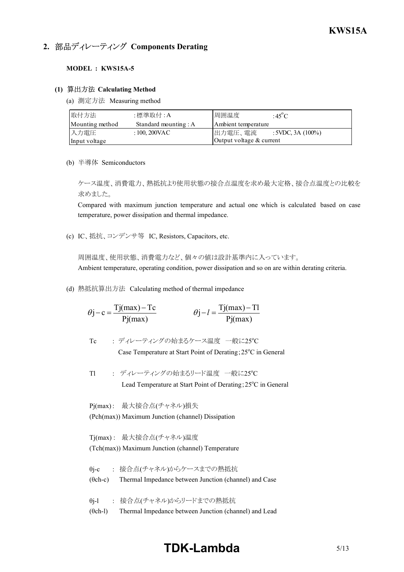## **2. 部品ディレーティング Components Derating**

#### **MODEL : KWS15A-5**

#### **(1) Calculating Method**

(a) 測定方法 Measuring method

| 取付方法            | :標準取付 : A               | 周囲温度                     | $:45^{\circ}$ C      |  |  |
|-----------------|-------------------------|--------------------------|----------------------|--|--|
| Mounting method | Standard mounting : $A$ | Ambient temperature      |                      |  |  |
| 入力電圧            | $: 100, 200$ VAC        | 出力電圧、電流                  | : 5VDC, 3A $(100\%)$ |  |  |
| Input voltage   |                         | Output voltage & current |                      |  |  |

(b) 半導体 Semiconductors

ケース温度、消費電力、熱抵抗より使用状態の接合点温度を求め最大定格、接合点温度との比較を 求めました。

Compared with maximum junction temperature and actual one which is calculated based on case temperature, power dissipation and thermal impedance.

(c) IC、抵抗、コンデンサ等 IC, Resistors, Capacitors, etc.

周囲温度、使用状態、消費電力など、個々の値は設計基準内に入っています。 Ambient temperature, operating condition, power dissipation and so on are within derating criteria.

(d) 熱抵抗算出方法 Calculating method of thermal impedance

$$
\theta j - c = \frac{Tj(max) - Tc}{Pj(max)} \qquad \theta j - l = \frac{Tj(max) - Tl}{Pj(max)}
$$

Tc : ディレーティングの始まるケース温度 一般に25°C

Case Temperature at Start Point of Derating;  $25^{\circ}$ C in General

Tl : ディレーティングの始まるリード温度 一般に25°C Lead Temperature at Start Point of Derating;  $25^{\circ}$ C in General

Pj(max) : 最大接合点(チャネル)損失 (Pch(max)) Maximum Junction (channel) Dissipation

Tj(max) : 最大接合点(チャネル)温度 (Tch(max)) Maximum Junction (channel) Temperature

#### θjc : 接合点(チャネル)からケースまでの熱抵抗

- $(\theta$ ch-c) Thermal Impedance between Junction (channel) and Case
- θj-l : 接合点(チャネル)からリードまでの熱抵抗
- $(\theta$ ch-l) Thermal Impedance between Junction (channel) and Lead

# **TDK-Lambda** 5/13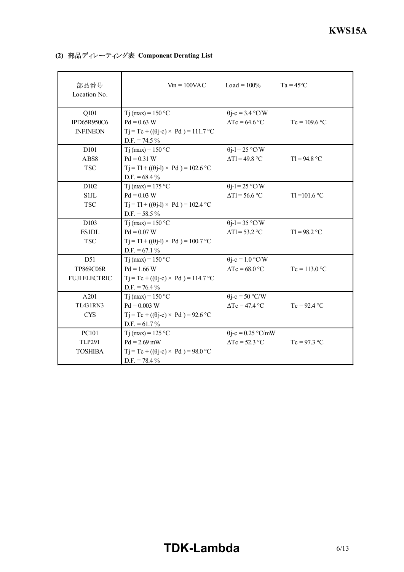| 部品番号<br>Location No. | $V$ in = 100VAC                                   | $Load = 100\%$                | $Ta = 45^{\circ}C$ |
|----------------------|---------------------------------------------------|-------------------------------|--------------------|
| Q101                 | Tj (max) = $150 °C$                               | $\theta$ j-c = 3.4 °C/W       |                    |
| IPD65R950C6          | $Pd = 0.63 W$                                     | $\Delta Tc = 64.6$ °C         | $Tc = 109.6 °C$    |
| <b>INFINEON</b>      | $Tj = Tc + ((\theta j - c) \times Pd) = 111.7$ °C |                               |                    |
|                      | $D.F. = 74.5 \%$                                  |                               |                    |
| D <sub>10</sub> 1    | $Ti$ (max) = 150 °C                               | $\theta$ j-l = 25 °C/W        |                    |
| ABS8                 | $Pd = 0.31 W$                                     | $\Delta Tl$ = 49.8 °C         | $T = 94.8 °C$      |
| <b>TSC</b>           | $Tj = Tl + ((\theta j - l) \times Pd) = 102.6 °C$ |                               |                    |
|                      | $D.F. = 68.4\%$                                   |                               |                    |
| D <sub>102</sub>     | $Ti$ (max) = 175 °C                               | $\theta$ j-l = 25 °C/W        |                    |
| S1JL                 | $Pd = 0.03 W$                                     | $\Delta T l = 56.6 °C$        | $T1 = 101.6 °C$    |
| <b>TSC</b>           | $Tj = T1 + ((\theta j - 1) \times Pd) = 102.4 °C$ |                               |                    |
|                      | $D.F. = 58.5 \%$                                  |                               |                    |
| D <sub>103</sub>     | Tj (max) = $150 °C$                               | $\theta$ j-l = 35 °C/W        |                    |
| <b>ES1DL</b>         | $Pd = 0.07 W$                                     | $\Delta T l = 53.2$ °C        | $TI = 98.2 °C$     |
| <b>TSC</b>           | $Tj = T1 + ((\theta j - 1) \times Pd) = 100.7 °C$ |                               |                    |
|                      | $D.F. = 67.1 \%$                                  |                               |                    |
| D51                  | $Ti$ (max) = 150 °C                               | $\theta$ j-c = 1.0 °C/W       |                    |
| TP869C06R            | $Pd = 1.66 W$                                     | $\Delta Tc = 68.0$ °C         | $Tc = 113.0 °C$    |
| <b>FUJI ELECTRIC</b> | $Tj = Tc + ((\theta j - c) \times Pd) = 114.7$ °C |                               |                    |
|                      | $D.F. = 76.4\%$                                   |                               |                    |
| A201                 | $Ti$ (max) = 150 °C                               | $\theta$ j-c = 50 °C/W        |                    |
| <b>TL431RN3</b>      | $Pd = 0.003 W$                                    | $\Delta Tc = 47.4$ °C         | $Tc = 92.4$ °C     |
| <b>CYS</b>           | $Tj = Tc + ((\theta j - c) \times Pd) = 92.6$ °C  |                               |                    |
|                      | $D.F. = 61.7\%$                                   |                               |                    |
| <b>PC101</b>         | $Ti$ (max) = 125 °C                               | $\theta$ j-c = 0.25 °C/mW     |                    |
| <b>TLP291</b>        | $Pd = 2.69$ mW                                    | $\Delta Tc = 52.3 \text{ °C}$ | $Tc = 97.3$ °C     |
| <b>TOSHIBA</b>       | $Tj = Tc + ((\theta j - c) \times Pd) = 98.0$ °C  |                               |                    |
|                      | $D.F. = 78.4\%$                                   |                               |                    |

**(2) 部品ディレーティング表 Component Derating List**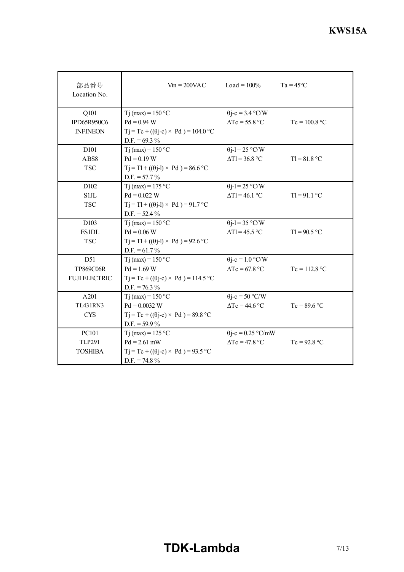| 部品番号<br>Location No.    | $V_{\text{in}} = 200 \text{VAC}$                  | $Load = 100\%$                                  | $Ta = 45^{\circ}C$ |
|-------------------------|---------------------------------------------------|-------------------------------------------------|--------------------|
| Q101                    | T <sub>j</sub> (max) = $150 °C$                   | $\theta$ j-c = 3.4 °C/W                         |                    |
| <b>IPD65R950C6</b>      | $Pd = 0.94 W$                                     | $\Delta Tc = 55.8 °C$                           | $Tc = 100.8 °C$    |
| <b>INFINEON</b>         | $Tj = Tc + ((\theta j - c) \times Pd) = 104.0$ °C |                                                 |                    |
|                         | $D.F. = 69.3 \%$                                  |                                                 |                    |
| D <sub>101</sub>        | $Ti$ (max) = 150 °C                               | $\theta$ j-l = 25 °C/W                          |                    |
| ABS8                    | $Pd = 0.19 W$                                     | $\Delta T l = 36.8 °C$                          | $T1 = 81.8 °C$     |
| <b>TSC</b>              | $Tj = T1 + ((\theta j - 1) \times Pd) = 86.6$ °C  |                                                 |                    |
|                         | $D.F. = 57.7\%$                                   |                                                 |                    |
| D <sub>102</sub>        | T <sub>j</sub> (max) = 175 °C                     | $\theta$ j-l = 25 °C/W                          |                    |
| <b>S1JL</b>             | $Pd = 0.022 W$                                    | $\Delta T l$ = 46.1 °C                          | $TI = 91.1 °C$     |
| <b>TSC</b>              | $Tj = Tl + ((\theta j - l) \times Pd) = 91.7$ °C  |                                                 |                    |
|                         | $D.F. = 52.4\%$                                   |                                                 |                    |
| D <sub>103</sub>        | Tj (max) = $150 °C$                               | $\theta$ j-l = 35 °C/W                          |                    |
| <b>ES1DL</b>            | $Pd = 0.06 W$                                     | $\Delta T l$ = 45.5 °C                          | $T = 90.5 °C$      |
| <b>TSC</b>              | $Tj = Tl + ((\theta j - l) \times Pd) = 92.6$ °C  |                                                 |                    |
|                         | $D.F. = 61.7\%$                                   |                                                 |                    |
| D51                     | Tj (max) = $150 °C$                               | $\theta$ j-c = 1.0 °C/W                         |                    |
| <b>TP869C06R</b>        | $Pd = 1.69 W$                                     | $\Delta Tc = 67.8$ °C                           | $T_c = 112.8 °C$   |
| <b>FUJI ELECTRIC</b>    | $Tj = Tc + ((\theta j - c) \times Pd) = 114.5 °C$ |                                                 |                    |
|                         | $D.F. = 76.3\%$                                   |                                                 |                    |
| A201<br><b>TL431RN3</b> | $Ti$ (max) = 150 °C<br>$Pd = 0.0032$ W            | $\theta$ j-c = 50 °C/W<br>$\Delta Tc = 44.6$ °C | $Tc = 89.6 °C$     |
|                         |                                                   |                                                 |                    |
| <b>CYS</b>              | $Tj = Tc + ((\theta j - c) \times Pd) = 89.8$ °C  |                                                 |                    |
| PC101                   | $D.F. = 59.9\%$<br>$Ti$ (max) = 125 °C            | $\theta$ j-c = 0.25 °C/mW                       |                    |
| <b>TLP291</b>           | $Pd = 2.61$ mW                                    | $\Delta Tc = 47.8$ °C                           | $Tc = 92.8 °C$     |
| <b>TOSHIBA</b>          | $Tj = Tc + ((\theta j - c) \times Pd) = 93.5$ °C  |                                                 |                    |
|                         | $D.F. = 74.8\%$                                   |                                                 |                    |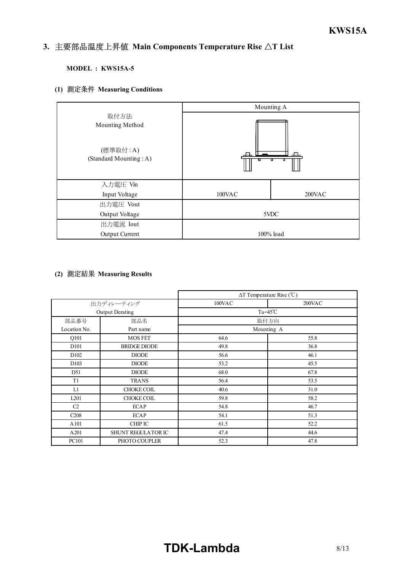#### *INSTRUCTION MANUAL* 3. 主要部品温度上昇值 Main Components Temperature Rise  $\Delta T$  List

#### **MODEL : KWS15A-5**

#### **(1) Measuring Conditions**



#### **(2) Measuring Results**

|                   |                        | $\Delta T$ Temperature Rise (°C) |                    |  |  |  |
|-------------------|------------------------|----------------------------------|--------------------|--|--|--|
|                   | 出力ディレーティング             | 100VAC                           | 200VAC             |  |  |  |
|                   | <b>Output Derating</b> |                                  | Ta= $45^{\circ}$ C |  |  |  |
| 部品番号              | 部品名                    |                                  | 取付方向               |  |  |  |
| Location No.      | Part name              |                                  | Mounting A         |  |  |  |
| Q101              | <b>MOS FET</b>         | 64.6                             | 55.8               |  |  |  |
| D <sub>10</sub> 1 | <b>BRIDGE DIODE</b>    | 49.8                             | 36.8               |  |  |  |
| D <sub>102</sub>  | <b>DIODE</b>           | 56.6                             | 46.1               |  |  |  |
| D <sub>103</sub>  | <b>DIODE</b>           | 53.2                             | 45.5               |  |  |  |
| D51               | <b>DIODE</b>           | 68.0                             | 67.8               |  |  |  |
| T <sub>1</sub>    | <b>TRANS</b>           | 56.4                             | 53.5               |  |  |  |
| L1                | <b>CHOKE COIL</b>      | 40.6                             | 31.0               |  |  |  |
| L <sub>201</sub>  | <b>CHOKE COIL</b>      | 59.8                             | 58.2               |  |  |  |
| C <sub>2</sub>    | <b>ECAP</b>            | 54.8                             | 46.7               |  |  |  |
| C <sub>208</sub>  | <b>ECAP</b>            | 54.1                             | 51.3               |  |  |  |
| A101              | <b>CHIP IC</b>         | 61.5                             | 52.2               |  |  |  |
| A201              | SHUNT REGULATOR IC     | 47.4                             | 44.6               |  |  |  |
| <b>PC101</b>      | PHOTO COUPLER          | 52.3                             | 47.8               |  |  |  |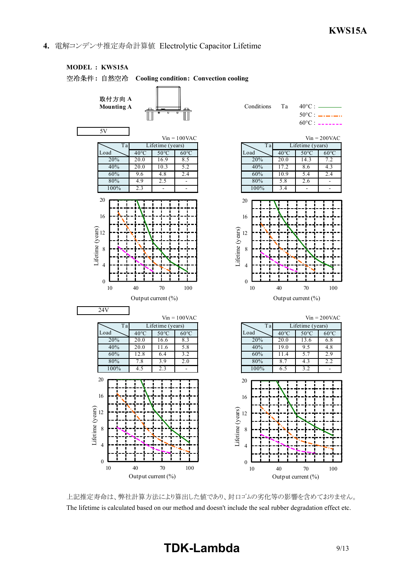**4.** 電解コンデンサ推定寿命計算値 Electrolytic Capacitor Lifetime



上記推定寿命は、弊社計算方法により算出した値であり、封口ゴムの劣化等の影響を含めておりません。 The lifetime is calculated based on our method and doesn't include the seal rubber degradation effect etc.

# **TDK-Lambda** 9/13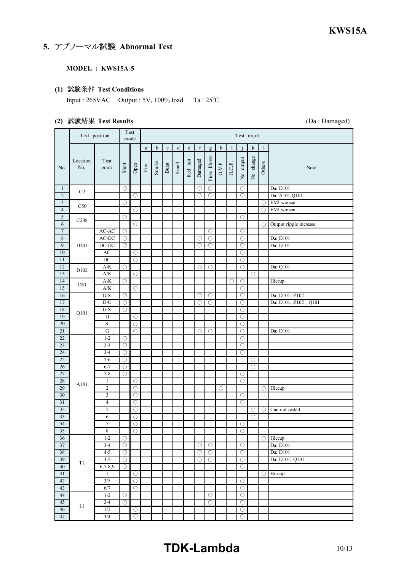## **5. アブノーマル試験 Abnormal Test**

#### **MODEL : KWS15A-5**

#### **(1) Test Conditions**

Input :  $265VAC$  Output :  $5V$ ,  $100\%$  load Ta :  $25^{\circ}C$ 

#### **(2) Test Results** (Da : Damaged)

 $\overline{\phantom{a}}$ 

|                 | Test position    |                  |                     | Test<br>mode                   | Test result |                |                 |           |         |                     |                     |                           |        |                                            |                          |                     |                        |
|-----------------|------------------|------------------|---------------------|--------------------------------|-------------|----------------|-----------------|-----------|---------|---------------------|---------------------|---------------------------|--------|--------------------------------------------|--------------------------|---------------------|------------------------|
|                 |                  |                  |                     |                                | $\rm{a}$    | $\mathbf b$    | $\mathbf c$     | ${\rm d}$ | $\rm e$ | $\mathbf f$         | g                   | $\boldsymbol{\mathrm{h}}$ | I      |                                            | k                        | 1                   |                        |
| No.             | Location<br>No.  | Test<br>point    | Short               | Open                           | $\rm{Fire}$ | ${\bf S}$ moke | $_{\rm{Burst}}$ | Smell     | Red hot | Damaged             | Fuse blown          | O.V.P.                    | O.C.P. | No output                                  | No change                | Others              | Note                   |
| $\mathbf{1}$    | C <sub>2</sub>   |                  | $\bigcirc$          |                                |             |                |                 |           |         | О                   | О                   |                           |        | $\circlearrowright$                        |                          |                     | Da: D101               |
| $\overline{2}$  |                  |                  |                     | $\circlearrowright$            |             |                |                 |           |         | $\circ$             | О                   |                           |        | $\bigcirc$                                 |                          |                     | Da: A101, Q101         |
| 3               | C50              |                  | $\bigcirc$          |                                |             |                |                 |           |         |                     |                     |                           |        |                                            |                          | $\circlearrowright$ | EMI worsen             |
| $\overline{4}$  |                  |                  |                     | $\circlearrowright$            |             |                |                 |           |         |                     |                     |                           |        |                                            |                          | $\circlearrowright$ | EMI worsen             |
| $\sqrt{5}$<br>6 | C <sub>208</sub> |                  | О                   |                                |             |                |                 |           |         |                     |                     |                           |        | О                                          |                          |                     |                        |
| $\tau$          |                  | $AC-AC$          | $\circ$             | О                              |             |                |                 |           |         |                     | $\circlearrowright$ |                           |        | $\bigcirc$                                 |                          | $\bigcirc$          | Output ripple increase |
| $\,8\,$         |                  | $AC-DC$          | $\circlearrowright$ |                                |             |                |                 |           |         | O                   | О                   |                           |        | $\circlearrowright$                        |                          |                     | Da: D101               |
| $\overline{9}$  | D101             | $DC-DC$          | О                   |                                |             |                |                 |           |         | O                   | О                   |                           |        | $\bigcirc$                                 |                          |                     | Da: D101               |
| 10              |                  | AC               |                     | О                              |             |                |                 |           |         |                     |                     |                           |        | $\circlearrowright$                        |                          |                     |                        |
| 11              |                  | $DC$             |                     | $\bigcirc$                     |             |                |                 |           |         |                     |                     |                           |        | $\bigcirc$                                 |                          |                     |                        |
| 12              |                  | $A-K$            | $\circlearrowright$ |                                |             |                |                 |           |         | $\circlearrowright$ | О                   |                           |        | $\circlearrowright$                        |                          |                     | Da: Q101               |
| 13              | D102             | $\rm A/K$        |                     | $\circlearrowright$            |             |                |                 |           |         |                     |                     |                           |        |                                            | О                        |                     |                        |
| 14              | D51              | $A-K$            | О                   |                                |             |                |                 |           |         |                     |                     |                           | О      | О                                          |                          |                     | Hiccup                 |
| 15              |                  | A/K              |                     | $\circ$                        |             |                |                 |           |         |                     |                     |                           |        | $\bigcirc$                                 |                          |                     |                        |
| 16              |                  | $D-S$            | $\circlearrowright$ |                                |             |                |                 |           |         | $\circlearrowright$ | О                   |                           |        | $\circlearrowright$                        |                          |                     | Da: D101, Z102         |
| 17              |                  | $D-G$            | О                   |                                |             |                |                 |           |         | $\circ$             | О                   |                           |        | $\circlearrowright$                        |                          |                     | Da: D101, Z102, Q101   |
| 18              | Q101             | $G-S$            | $\circlearrowright$ |                                |             |                |                 |           |         |                     |                     |                           |        | $\circlearrowright$                        |                          |                     |                        |
| 19<br>20        |                  | D<br>$\mathbf S$ |                     | $\circlearrowright$<br>$\circ$ |             |                |                 |           |         |                     |                     |                           |        | $\circ$                                    |                          |                     |                        |
| 21              |                  | ${\bf G}$        |                     | $\circlearrowright$            |             |                |                 |           |         | $\circ$             | O                   |                           |        | $\circlearrowright$<br>$\circlearrowright$ |                          |                     | Da: D101               |
| $\overline{22}$ |                  | $1 - 2$          | $\circlearrowright$ |                                |             |                |                 |           |         |                     |                     |                           |        | $\bigcirc$                                 |                          |                     |                        |
| 23              |                  | $2 - 3$          | $\circlearrowright$ |                                |             |                |                 |           |         |                     |                     |                           |        | $\circlearrowright$                        |                          |                     |                        |
| 24              |                  | $3 - 4$          | $\circ$             |                                |             |                |                 |           |         |                     |                     |                           |        | $\bigcirc$                                 |                          |                     |                        |
| 25              |                  | $5 - 6$          | $\bigcirc$          |                                |             |                |                 |           |         |                     |                     |                           |        |                                            | О                        |                     |                        |
| 26              |                  | $6 - 7$          | $\circ$             |                                |             |                |                 |           |         |                     |                     |                           |        |                                            | 0                        |                     |                        |
| 27              |                  | $7 - 8$          | $\bigcirc$          |                                |             |                |                 |           |         |                     |                     |                           |        | $\circlearrowright$                        |                          |                     |                        |
| 28              | A101             | $\mathbf{1}$     |                     | $\circlearrowright$            |             |                |                 |           |         |                     |                     |                           |        | $\circlearrowright$                        |                          |                     |                        |
| 29              |                  | $\mathbf{2}$     |                     | $\circlearrowright$            |             |                |                 |           |         |                     |                     | О                         |        |                                            |                          | O                   | Hiccup                 |
| 30              |                  | $\mathfrak{Z}$   |                     | $\circlearrowright$            |             |                |                 |           |         |                     |                     |                           |        | О                                          |                          |                     |                        |
| 31<br>32        |                  | $\overline{4}$   |                     | $\circ$                        |             |                |                 |           |         |                     |                     |                           |        | $\bigcirc$                                 |                          |                     |                        |
| 33              |                  | 5<br>6           |                     | $\circ$<br>$\circlearrowright$ |             |                |                 |           |         |                     |                     |                           |        |                                            | $\circlearrowright$<br>O | O                   | Can not restart        |
| 34              |                  | $\tau$           |                     | $\circ$                        |             |                |                 |           |         |                     |                     |                           |        | О                                          |                          |                     |                        |
| 35              |                  | 8                |                     | $\bigcirc$                     |             |                |                 |           |         |                     |                     |                           |        | $\bigcirc$                                 |                          |                     |                        |
| 36              |                  | $1 - 2$          | $\circ$             |                                |             |                |                 |           |         |                     |                     |                           |        |                                            |                          | $\circlearrowright$ | Hiccup                 |
| 37              |                  | $3-4$            | О                   |                                |             |                |                 |           |         | $\circ$             | O                   |                           |        | $\circlearrowright$                        |                          |                     | Da: D101               |
| 38              |                  | $4 - 5$          | $\bigcirc$          |                                |             |                |                 |           |         | $\circ$             | $\bigcirc$          |                           |        | $\bigcirc$                                 |                          |                     | Da: D101               |
| 39              |                  | $3 - 5$          | $\circ$             |                                |             |                |                 |           |         | $\circlearrowright$ | $\bigcirc$          |                           |        | $\circ$                                    |                          |                     | Da: D101, Q101         |
| 40              | $\rm T1$         | $6,7 - 8,9$      | $\circ$             |                                |             |                |                 |           |         |                     |                     |                           |        | $\bigcirc$                                 |                          |                     |                        |
| 41              |                  | $\mathbf{1}$     |                     | $\circ$                        |             |                |                 |           |         |                     |                     |                           |        |                                            |                          | $\circlearrowright$ | Hiccup                 |
| 42              |                  | $\overline{3/5}$ |                     | $\bigcirc$                     |             |                |                 |           |         |                     |                     |                           |        | $\circlearrowright$                        |                          |                     |                        |
| 43              |                  | 6/7              |                     | $\circ$                        |             |                |                 |           |         |                     |                     |                           |        | $\circlearrowright$                        |                          |                     |                        |
| 44              |                  | $1-2$            | $\bigcirc$          |                                |             |                |                 |           |         |                     | $\bigcirc$          |                           |        | $\circlearrowright$                        |                          |                     |                        |
| 45<br>46        | L1               | $3-4$<br>1/2     | О                   | $\bigcirc$                     |             |                |                 |           |         |                     | $\circlearrowright$ |                           |        | $\circ$<br>$\circlearrowright$             |                          |                     |                        |
| 47              |                  | 3/4              |                     | $\bigcirc$                     |             |                |                 |           |         |                     |                     |                           |        | $\circ$                                    |                          |                     |                        |
|                 |                  |                  |                     |                                |             |                |                 |           |         |                     |                     |                           |        |                                            |                          |                     |                        |

# **TDK-Lambda** 10/13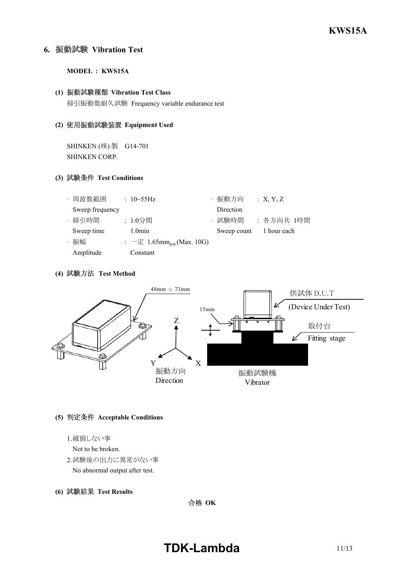## **6. Vibration Test**

#### **MODEL : KWS15A**

#### **(1) Vibration Test Class**

掃引振動数耐久試験 Frequency variable endurance test

#### **(2) Equipment Used**

SHINKEN (株) 製 G14701 SHINKEN CORP.

#### **(3) Test Conditions**

| · 周波数範囲         | : $10 \sim 55$ Hz                             | ・振動方向       | X, Y, Z     |
|-----------------|-----------------------------------------------|-------------|-------------|
| Sweep frequency |                                               | Direction   |             |
| · 掃引時間          | : 1.0分間                                       | ・試験時間       | :各方向共 1時間   |
| Sweep time      | $1.0$ min                                     | Sweep count | 1 hour each |
| ・振幅             | : $-\bar{x}$ 1.65mm <sub>p-p</sub> (Max. 10G) |             |             |
| Amplitude       | Constant                                      |             |             |

#### **(4) Test Method**



#### **(5) Acceptable Conditions**

1.破損しない事

Not to be broken.

- 2.試験後の出力に異常がない事 No abnormal output after test.
- **(6) Test Results**

合格 OK

# **TDK-Lambda** 11/13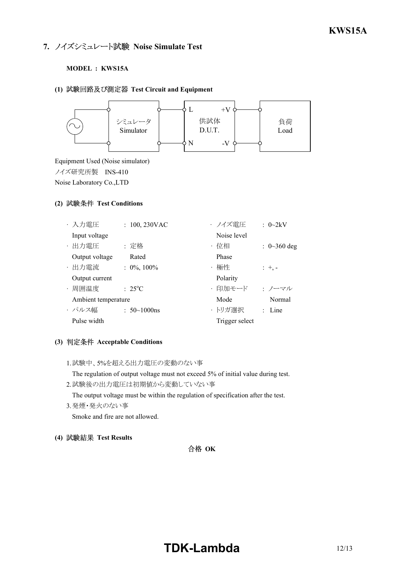### **7. ノイズシミュレート試験 Noise Simulate Test**

#### **MODEL : KWS15A**

#### **(1) Test Circuit and Equipment**



Equipment Used (Noise simulator) ノイズ研究所製 INS410 Noise Laboratory Co.,LTD

#### **(2) Test Conditions**

| · 入力電圧              | $: 100, 230$ VAC             | · ノイズ電圧        | : $0\sim2kV$       |
|---------------------|------------------------------|----------------|--------------------|
| Input voltage       |                              | Noise level    |                    |
| · 出力電圧              | : 定格                         | ・位相            | : $0 \sim 360$ deg |
| Output voltage      | Rated                        | Phase          |                    |
| · 出力電流              | $: 0\%, 100\%$<br>$\epsilon$ | 極性             | $: +,-$            |
| Output current      |                              | Polarity       |                    |
| · 周囲温度              | $\div$ 25 <sup>o</sup> C     | ・印加モード         | : ノーマル             |
| Ambient temperature |                              | Mode           | Normal             |
| ・パルス幅               | : $50 \sim 1000$ ns          | ・トリガ選択         | $:$ Line           |
| Pulse width         |                              | Trigger select |                    |

#### **(3) Acceptable Conditions**

1.試験中、5%を超える出力電圧の変動のない事

The regulation of output voltage must not exceed 5% of initial value during test.

- 2.試験後の出力電圧は初期値から変動していない事 The output voltage must be within the regulation of specification after the test.
- 3.発煙・発火のない事 Smoke and fire are not allowed.
- **(4) Test Results**

### 合格 OK

# **TDK-Lambda** 12/13